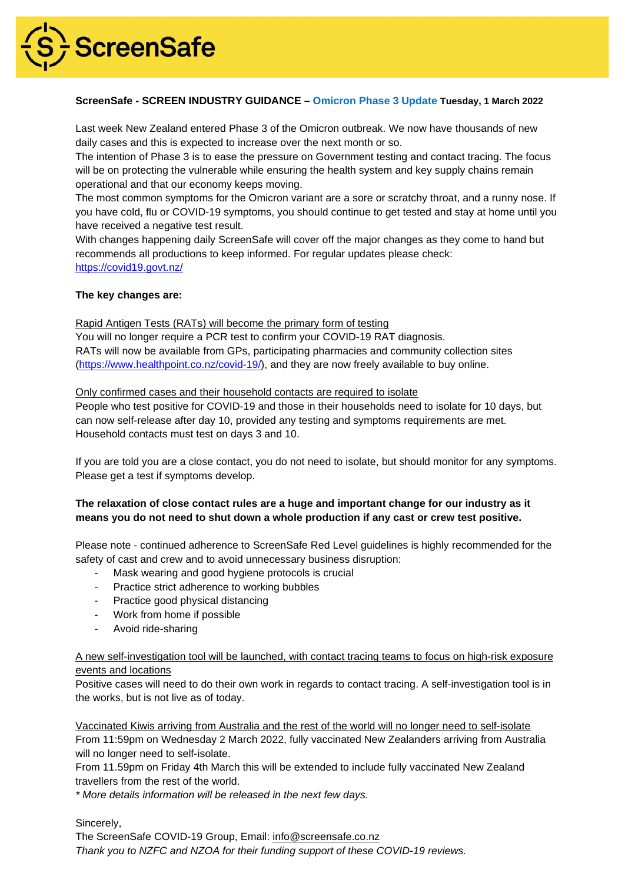

# **ScreenSafe - SCREEN INDUSTRY GUIDANCE – Omicron Phase 3 Update Tuesday, 1 March 2022**

Last week New Zealand entered Phase 3 of the Omicron outbreak. We now have thousands of new daily cases and this is expected to increase over the next month or so.

The intention of Phase 3 is to ease the pressure on Government testing and contact tracing. The focus will be on protecting the vulnerable while ensuring the health system and key supply chains remain operational and that our economy keeps moving.

The most common symptoms for the Omicron variant are a sore or scratchy throat, and a runny nose. If you have cold, flu or COVID-19 symptoms, you should continue to get tested and stay at home until you have received a negative test result.

With changes happening daily ScreenSafe will cover off the major changes as they come to hand but recommends all productions to keep informed. For regular updates please check: <https://covid19.govt.nz/>

# **The key changes are:**

Rapid Antigen Tests (RATs) will become the primary form of testing

You will no longer require a PCR test to confirm your COVID-19 RAT diagnosis. RATs will now be available from GPs, participating pharmacies and community collection sites [\(https://www.healthpoint.co.nz/covid-19/\)](https://www.healthpoint.co.nz/covid-19/), and they are now freely available to buy online.

### Only confirmed cases and their household contacts are required to isolate

People who test positive for COVID-19 and those in their households need to isolate for 10 days, but can now self-release after day 10, provided any testing and symptoms requirements are met. Household contacts must test on days 3 and 10.

If you are told you are a close contact, you do not need to isolate, but should monitor for any symptoms. Please get a test if symptoms develop.

# **The relaxation of close contact rules are a huge and important change for our industry as it means you do not need to shut down a whole production if any cast or crew test positive.**

Please note - continued adherence to ScreenSafe Red Level guidelines is highly recommended for the safety of cast and crew and to avoid unnecessary business disruption:

- Mask wearing and good hygiene protocols is crucial
- Practice strict adherence to working bubbles
- Practice good physical distancing
- Work from home if possible
- Avoid ride-sharing

# A new self-investigation tool will be launched, with contact tracing teams to focus on high-risk exposure events and locations

Positive cases will need to do their own work in regards to contact tracing. A self-investigation tool is in the works, but is not live as of today.

Vaccinated Kiwis arriving from Australia and the rest of the world will no longer need to self-isolate From 11:59pm on Wednesday 2 March 2022, fully vaccinated New Zealanders arriving from Australia will no longer need to self-isolate.

From 11.59pm on Friday 4th March this will be extended to include fully vaccinated New Zealand travellers from the rest of the world.

*\* More details information will be released in the next few days.*

Sincerely,

The ScreenSafe COVID-19 Group, Email: [info@screensafe.co.nz](mailto:info@screensafe.co.nz) *Thank you to NZFC and NZOA for their funding support of these COVID-19 reviews.*